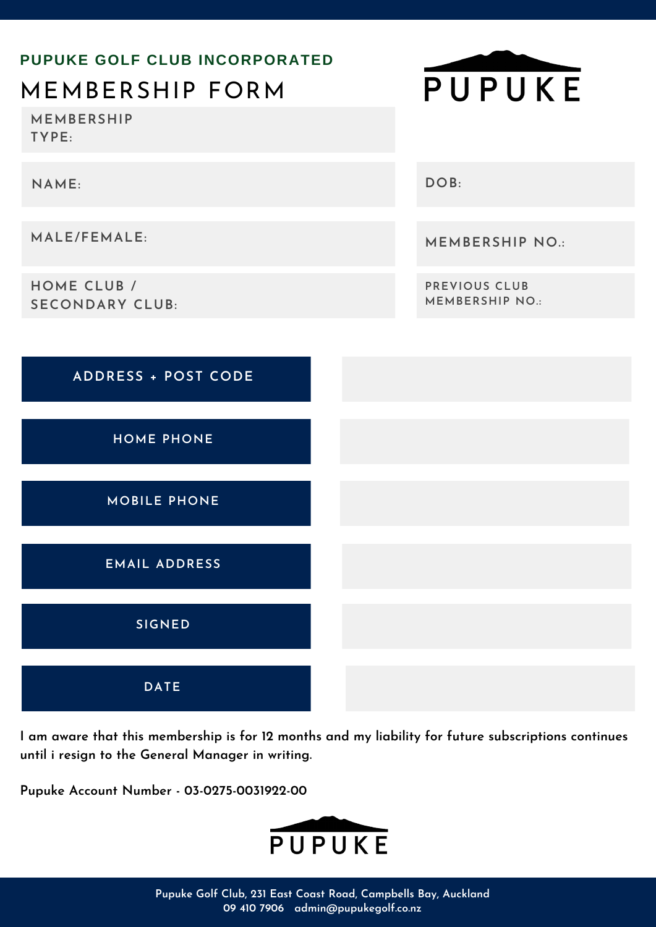

**I am aware that this membership is for 12 months and my liability for future subscriptions continues until i resign to the General Manager in writing.**

**Pupuke Account Number - 03-0275-0031922-00**